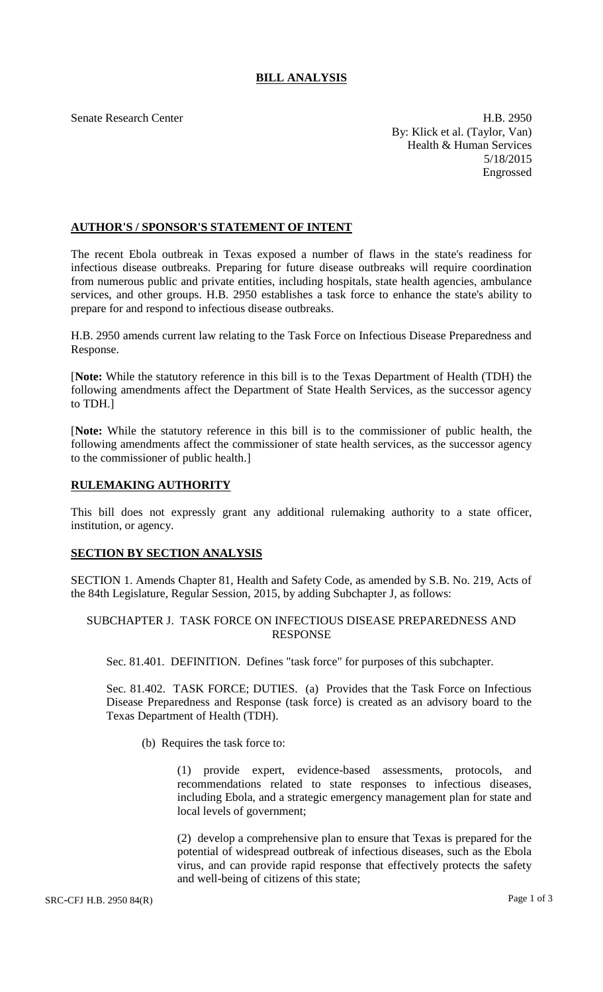# **BILL ANALYSIS**

Senate Research Center **H.B. 2950** By: Klick et al. (Taylor, Van) Health & Human Services 5/18/2015 Engrossed

## **AUTHOR'S / SPONSOR'S STATEMENT OF INTENT**

The recent Ebola outbreak in Texas exposed a number of flaws in the state's readiness for infectious disease outbreaks. Preparing for future disease outbreaks will require coordination from numerous public and private entities, including hospitals, state health agencies, ambulance services, and other groups. H.B. 2950 establishes a task force to enhance the state's ability to prepare for and respond to infectious disease outbreaks.

H.B. 2950 amends current law relating to the Task Force on Infectious Disease Preparedness and Response.

[**Note:** While the statutory reference in this bill is to the Texas Department of Health (TDH) the following amendments affect the Department of State Health Services, as the successor agency to TDH.]

[**Note:** While the statutory reference in this bill is to the commissioner of public health, the following amendments affect the commissioner of state health services, as the successor agency to the commissioner of public health.]

## **RULEMAKING AUTHORITY**

This bill does not expressly grant any additional rulemaking authority to a state officer, institution, or agency.

#### **SECTION BY SECTION ANALYSIS**

SECTION 1. Amends Chapter 81, Health and Safety Code, as amended by S.B. No. 219, Acts of the 84th Legislature, Regular Session, 2015, by adding Subchapter J, as follows:

## SUBCHAPTER J. TASK FORCE ON INFECTIOUS DISEASE PREPAREDNESS AND RESPONSE

Sec. 81.401. DEFINITION. Defines "task force" for purposes of this subchapter.

Sec. 81.402. TASK FORCE; DUTIES. (a) Provides that the Task Force on Infectious Disease Preparedness and Response (task force) is created as an advisory board to the Texas Department of Health (TDH).

(b) Requires the task force to:

(1) provide expert, evidence-based assessments, protocols, and recommendations related to state responses to infectious diseases, including Ebola, and a strategic emergency management plan for state and local levels of government;

(2) develop a comprehensive plan to ensure that Texas is prepared for the potential of widespread outbreak of infectious diseases, such as the Ebola virus, and can provide rapid response that effectively protects the safety and well-being of citizens of this state;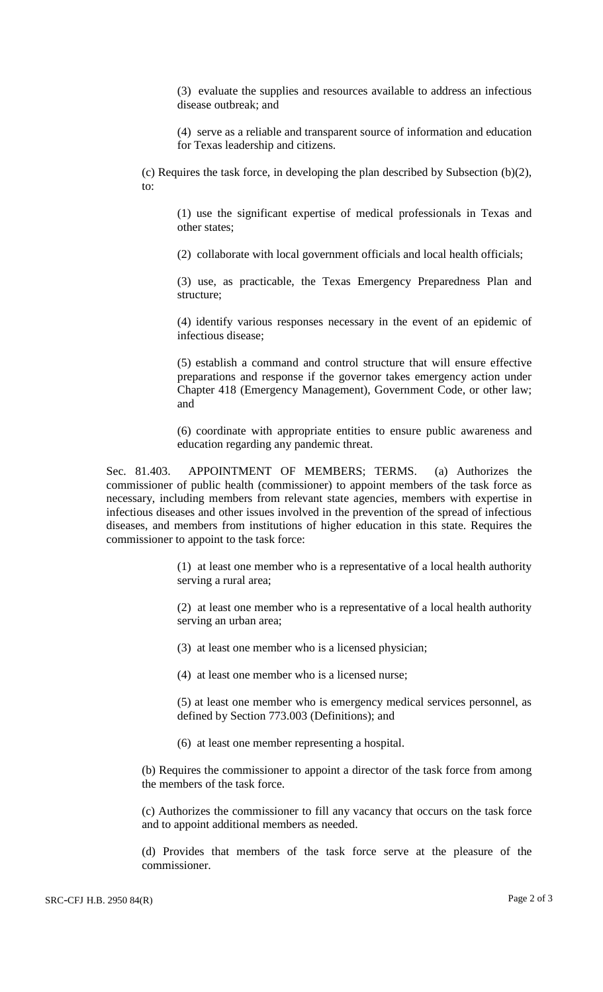(3) evaluate the supplies and resources available to address an infectious disease outbreak; and

(4) serve as a reliable and transparent source of information and education for Texas leadership and citizens.

(c) Requires the task force, in developing the plan described by Subsection (b)(2), to:

(1) use the significant expertise of medical professionals in Texas and other states;

(2) collaborate with local government officials and local health officials;

(3) use, as practicable, the Texas Emergency Preparedness Plan and structure;

(4) identify various responses necessary in the event of an epidemic of infectious disease;

(5) establish a command and control structure that will ensure effective preparations and response if the governor takes emergency action under Chapter 418 (Emergency Management), Government Code, or other law; and

(6) coordinate with appropriate entities to ensure public awareness and education regarding any pandemic threat.

Sec. 81.403. APPOINTMENT OF MEMBERS; TERMS. (a) Authorizes the commissioner of public health (commissioner) to appoint members of the task force as necessary, including members from relevant state agencies, members with expertise in infectious diseases and other issues involved in the prevention of the spread of infectious diseases, and members from institutions of higher education in this state. Requires the commissioner to appoint to the task force:

> (1) at least one member who is a representative of a local health authority serving a rural area;

> (2) at least one member who is a representative of a local health authority serving an urban area;

(3) at least one member who is a licensed physician;

(4) at least one member who is a licensed nurse;

(5) at least one member who is emergency medical services personnel, as defined by Section 773.003 (Definitions); and

(6) at least one member representing a hospital.

(b) Requires the commissioner to appoint a director of the task force from among the members of the task force.

(c) Authorizes the commissioner to fill any vacancy that occurs on the task force and to appoint additional members as needed.

(d) Provides that members of the task force serve at the pleasure of the commissioner.